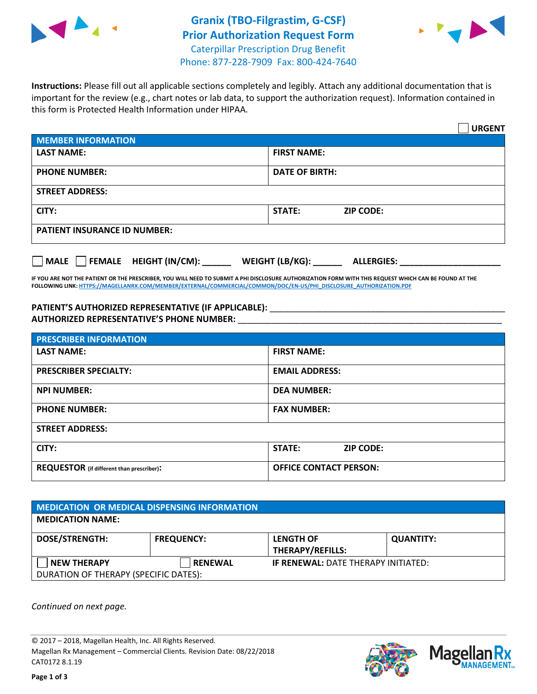



**Instructions:** Please fill out all applicable sections completely and legibly. Attach any additional documentation that is important for the review (e.g., chart notes or lab data, to support the authorization request). Information contained in this form is Protected Health Information under HIPAA.

|                                                | <b>URGENT</b>                        |  |  |  |
|------------------------------------------------|--------------------------------------|--|--|--|
| <b>MEMBER INFORMATION</b>                      |                                      |  |  |  |
| <b>LAST NAME:</b>                              | <b>FIRST NAME:</b>                   |  |  |  |
| <b>PHONE NUMBER:</b>                           | <b>DATE OF BIRTH:</b>                |  |  |  |
| <b>STREET ADDRESS:</b>                         |                                      |  |  |  |
| CITY:                                          | <b>STATE:</b><br><b>ZIP CODE:</b>    |  |  |  |
| <b>PATIENT INSURANCE ID NUMBER:</b>            |                                      |  |  |  |
| $\Box$ FEMALE HEIGHT (IN/CM): _<br><b>MALE</b> | WEIGHT (LB/KG):<br><b>ALLERGIES:</b> |  |  |  |

**IF YOU ARE NOT THE PATIENT OR THE PRESCRIBER, YOU WILL NEED TO SUBMIT A PHI DISCLOSURE AUTHORIZATION FORM WITH THIS REQUEST WHICH CAN BE FOUND AT THE FOLLOWING LINK[: HTTPS://MAGELLANRX.COM/MEMBER/EXTERNAL/COMMERCIAL/COMMON/DOC/EN-US/PHI\\_DISCLOSURE\\_AUTHORIZATION.PDF](https://magellanrx.com/member/external/commercial/common/doc/en-us/PHI_Disclosure_Authorization.pdf)**

PATIENT'S AUTHORIZED REPRESENTATIVE (IF APPLICABLE): \_\_\_\_\_\_\_\_\_\_\_\_\_\_\_\_\_\_\_\_\_\_\_\_\_\_\_ **AUTHORIZED REPRESENTATIVE'S PHONE NUMBER:** \_\_\_\_\_\_\_\_\_\_\_\_\_\_\_\_\_\_\_\_\_\_\_\_\_\_\_\_\_\_\_\_\_\_\_\_\_\_\_\_\_\_\_\_\_\_\_\_\_\_\_\_\_\_\_

| <b>PRESCRIBER INFORMATION</b>             |                               |  |  |  |
|-------------------------------------------|-------------------------------|--|--|--|
| <b>LAST NAME:</b>                         | <b>FIRST NAME:</b>            |  |  |  |
| <b>PRESCRIBER SPECIALTY:</b>              | <b>EMAIL ADDRESS:</b>         |  |  |  |
| <b>NPI NUMBER:</b>                        | <b>DEA NUMBER:</b>            |  |  |  |
| <b>PHONE NUMBER:</b>                      | <b>FAX NUMBER:</b>            |  |  |  |
| <b>STREET ADDRESS:</b>                    |                               |  |  |  |
| CITY:                                     | STATE:<br><b>ZIP CODE:</b>    |  |  |  |
| REQUESTOR (if different than prescriber): | <b>OFFICE CONTACT PERSON:</b> |  |  |  |

| <b>MEDICATION OR MEDICAL DISPENSING INFORMATION</b> |                   |                                            |                  |  |  |
|-----------------------------------------------------|-------------------|--------------------------------------------|------------------|--|--|
| <b>MEDICATION NAME:</b>                             |                   |                                            |                  |  |  |
| <b>DOSE/STRENGTH:</b>                               | <b>FREQUENCY:</b> | <b>LENGTH OF</b>                           | <b>QUANTITY:</b> |  |  |
|                                                     |                   | <b>THERAPY/REFILLS:</b>                    |                  |  |  |
| <b>NEW THERAPY</b>                                  | <b>RENEWAL</b>    | <b>IF RENEWAL: DATE THERAPY INITIATED:</b> |                  |  |  |
| DURATION OF THERAPY (SPECIFIC DATES):               |                   |                                            |                  |  |  |

*Continued on next page.*

© 2017 – 2018, Magellan Health, Inc. All Rights Reserved. Magellan Rx Management – Commercial Clients. Revision Date: 08/22/2018 CAT0172 8.1.19



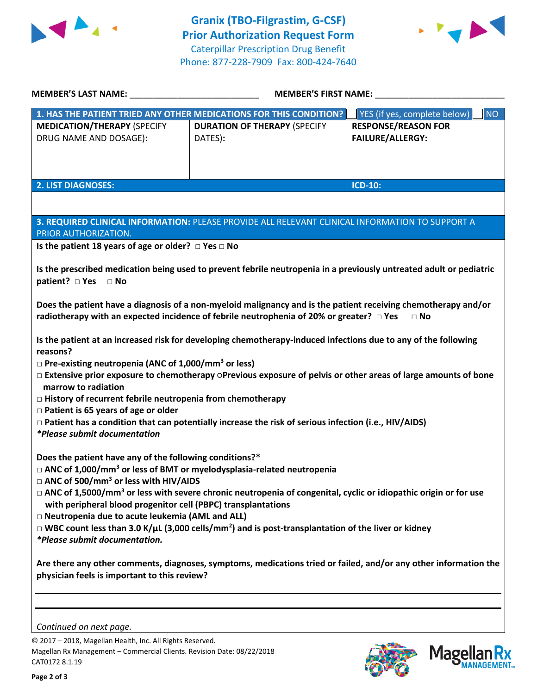



| <b>MEMBER'S LAST NAME:</b>                                                                                                                                                                                                                                                                                                                                                                                                                                                                                                                                                                                                                                                                                                                                                                                                                                                                                                                                                                       | <b>MEMBER'S FIRST NAME:</b>                                                                                      |                                                       |  |  |
|--------------------------------------------------------------------------------------------------------------------------------------------------------------------------------------------------------------------------------------------------------------------------------------------------------------------------------------------------------------------------------------------------------------------------------------------------------------------------------------------------------------------------------------------------------------------------------------------------------------------------------------------------------------------------------------------------------------------------------------------------------------------------------------------------------------------------------------------------------------------------------------------------------------------------------------------------------------------------------------------------|------------------------------------------------------------------------------------------------------------------|-------------------------------------------------------|--|--|
| 1. HAS THE PATIENT TRIED ANY OTHER MEDICATIONS FOR THIS CONDITION?                                                                                                                                                                                                                                                                                                                                                                                                                                                                                                                                                                                                                                                                                                                                                                                                                                                                                                                               |                                                                                                                  | <b>NO</b><br>YES (if yes, complete below)             |  |  |
| <b>MEDICATION/THERAPY (SPECIFY</b><br>DRUG NAME AND DOSAGE):                                                                                                                                                                                                                                                                                                                                                                                                                                                                                                                                                                                                                                                                                                                                                                                                                                                                                                                                     | <b>DURATION OF THERAPY (SPECIFY</b><br>DATES):                                                                   | <b>RESPONSE/REASON FOR</b><br><b>FAILURE/ALLERGY:</b> |  |  |
| <b>2. LIST DIAGNOSES:</b>                                                                                                                                                                                                                                                                                                                                                                                                                                                                                                                                                                                                                                                                                                                                                                                                                                                                                                                                                                        |                                                                                                                  | <b>ICD-10:</b>                                        |  |  |
|                                                                                                                                                                                                                                                                                                                                                                                                                                                                                                                                                                                                                                                                                                                                                                                                                                                                                                                                                                                                  |                                                                                                                  |                                                       |  |  |
| 3. REQUIRED CLINICAL INFORMATION: PLEASE PROVIDE ALL RELEVANT CLINICAL INFORMATION TO SUPPORT A<br>PRIOR AUTHORIZATION.                                                                                                                                                                                                                                                                                                                                                                                                                                                                                                                                                                                                                                                                                                                                                                                                                                                                          |                                                                                                                  |                                                       |  |  |
| Is the patient 18 years of age or older? $\Box$ Yes $\Box$ No                                                                                                                                                                                                                                                                                                                                                                                                                                                                                                                                                                                                                                                                                                                                                                                                                                                                                                                                    |                                                                                                                  |                                                       |  |  |
| Is the prescribed medication being used to prevent febrile neutropenia in a previously untreated adult or pediatric<br>patient? □ Yes □ No<br>Does the patient have a diagnosis of a non-myeloid malignancy and is the patient receiving chemotherapy and/or<br>radiotherapy with an expected incidence of febrile neutrophenia of 20% or greater? $\Box$ Yes<br>$\Box$ No<br>Is the patient at an increased risk for developing chemotherapy-induced infections due to any of the following<br>reasons?<br>$\Box$ Pre-existing neutropenia (ANC of 1,000/mm <sup>3</sup> or less)<br>□ Extensive prior exposure to chemotherapy OPrevious exposure of pelvis or other areas of large amounts of bone<br>marrow to radiation<br>$\Box$ History of recurrent febrile neutropenia from chemotherapy<br>$\Box$ Patient is 65 years of age or older<br>□ Patient has a condition that can potentially increase the risk of serious infection (i.e., HIV/AIDS)<br><i>*Please submit documentation</i> |                                                                                                                  |                                                       |  |  |
| Does the patient have any of the following conditions?*<br>$\Box$ ANC of 1,000/mm <sup>3</sup> or less of BMT or myelodysplasia-related neutropenia<br>$\Box$ ANC of 500/mm <sup>3</sup> or less with HIV/AIDS<br>$\Box$ ANC of 1,5000/mm <sup>3</sup> or less with severe chronic neutropenia of congenital, cyclic or idiopathic origin or for use<br>with peripheral blood progenitor cell (PBPC) transplantations<br>□ Neutropenia due to acute leukemia (AML and ALL)<br>$\Box$ WBC count less than 3.0 K/µL (3,000 cells/mm <sup>2</sup> ) and is post-transplantation of the liver or kidney<br>*Please submit documentation.                                                                                                                                                                                                                                                                                                                                                             |                                                                                                                  |                                                       |  |  |
| physician feels is important to this review?<br>Continued on next page.                                                                                                                                                                                                                                                                                                                                                                                                                                                                                                                                                                                                                                                                                                                                                                                                                                                                                                                          | Are there any other comments, diagnoses, symptoms, medications tried or failed, and/or any other information the |                                                       |  |  |

© 2017 – 2018, Magellan Health, Inc. All Rights Reserved. Magellan Rx Management – Commercial Clients. Revision Date: 08/22/2018 CAT0172 8.1.19